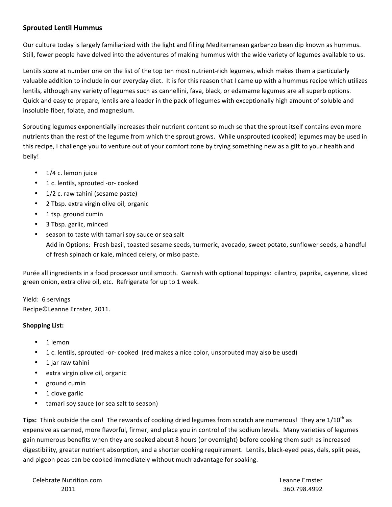## **Sprouted Lentil Hummus**

Our culture today is largely familiarized with the light and filling Mediterranean garbanzo bean dip known as hummus. Still, fewer people have delved into the adventures of making hummus with the wide variety of legumes available to us.

Lentils score at number one on the list of the top ten most nutrient-rich legumes, which makes them a particularly valuable addition to include in our everyday diet. It is for this reason that I came up with a hummus recipe which utilizes lentils, although any variety of legumes such as cannellini, fava, black, or edamame legumes are all superb options. Quick and easy to prepare, lentils are a leader in the pack of legumes with exceptionally high amount of soluble and insoluble fiber, folate, and magnesium.

Sprouting legumes exponentially increases their nutrient content so much so that the sprout itself contains even more nutrients than the rest of the legume from which the sprout grows. While unsprouted (cooked) legumes may be used in this recipe, I challenge you to venture out of your comfort zone by trying something new as a gift to your health and belly!

- 1/4 c. lemon juice
- 1 c. lentils, sprouted -or- cooked
- 1/2 c. raw tahini (sesame paste)
- 2 Tbsp. extra virgin olive oil, organic
- 1 tsp. ground cumin  $\bullet$
- 3 Tbsp. garlic, minced
- season to taste with tamari soy sauce or sea salt Add in Options: Fresh basil, toasted sesame seeds, turmeric, avocado, sweet potato, sunflower seeds, a handful of fresh spinach or kale, minced celery, or miso paste.

Purée all ingredients in a food processor until smooth. Garnish with optional toppings: cilantro, paprika, cayenne, sliced green onion, extra olive oil, etc. Refrigerate for up to 1 week.

Yield: 6 servings Recipe©Leanne Ernster, 2011.

## **Shopping List:**

- 1 lemon
- 1 c. lentils, sprouted -or- cooked (red makes a nice color, unsprouted may also be used)
- 1 jar raw tahini
- extra virgin olive oil, organic
- ground cumin  $\bullet$
- 1 clove garlic
- tamari soy sauce (or sea salt to season)

Tips: Think outside the can! The rewards of cooking dried legumes from scratch are numerous! They are 1/10<sup>th</sup> as expensive as canned, more flavorful, firmer, and place you in control of the sodium levels. Many varieties of legumes gain numerous benefits when they are soaked about 8 hours (or overnight) before cooking them such as increased digestibility, greater nutrient absorption, and a shorter cooking requirement. Lentils, black-eyed peas, dals, split peas, and pigeon peas can be cooked immediately without much advantage for soaking.